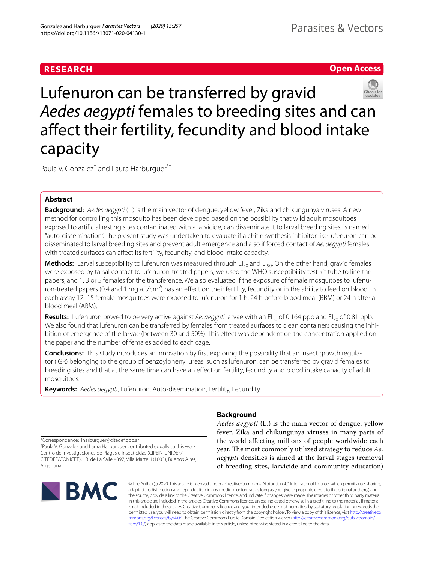# **RESEARCH**

## **Open Access**



Lufenuron can be transferred by gravid *Aedes aegypti* females to breeding sites and can afect their fertility, fecundity and blood intake capacity

Paula V. Gonzalez<sup>†</sup> and Laura Harburguer<sup>\*†</sup>

## **Abstract**

**Background:** *Aedes aegypti* (L.) is the main vector of dengue, yellow fever, Zika and chikungunya viruses. A new method for controlling this mosquito has been developed based on the possibility that wild adult mosquitoes exposed to artifcial resting sites contaminated with a larvicide, can disseminate it to larval breeding sites, is named "auto-dissemination". The present study was undertaken to evaluate if a chitin synthesis inhibitor like lufenuron can be disseminated to larval breeding sites and prevent adult emergence and also if forced contact of *Ae. aegypti* females with treated surfaces can affect its fertility, fecundity, and blood intake capacity.

Methods: Larval susceptibility to lufenuron was measured through El<sub>50</sub> and El<sub>90</sub>. On the other hand, gravid females were exposed by tarsal contact to lufenuron-treated papers, we used the WHO susceptibility test kit tube to line the papers, and 1, 3 or 5 females for the transference. We also evaluated if the exposure of female mosquitoes to lufenuron-treated papers (0.4 and 1 mg a.i./cm<sup>2</sup>) has an effect on their fertility, fecundity or in the ability to feed on blood. In each assay 12–15 female mosquitoes were exposed to lufenuron for 1 h, 24 h before blood meal (BBM) or 24 h after a blood meal (ABM).

**Results:** Lufenuron proved to be very active against *Ae. aegypti* larvae with an  $EI_{50}$  of 0.164 ppb and  $EI_{90}$  of 0.81 ppb. We also found that lufenuron can be transferred by females from treated surfaces to clean containers causing the inhibition of emergence of the larvae (between 30 and 50%). This effect was dependent on the concentration applied on the paper and the number of females added to each cage.

**Conclusions:** This study introduces an innovation by frst exploring the possibility that an insect growth regulator (IGR) belonging to the group of benzoylphenyl ureas, such as lufenuron, can be transferred by gravid females to breeding sites and that at the same time can have an efect on fertility, fecundity and blood intake capacity of adult mosquitoes.

**Keywords:** *Aedes aegypti*, Lufenuron, Auto-disemination, Fertility, Fecundity

## **Background**

\*Correspondence: lharburguer@citedef.gob.ar

† Paula V. Gonzalez and Laura Harburguer contributed equally to this work Centro de Investigaciones de Plagas e Insecticidas (CIPEIN-UNIDEF/ CITEDEF/CONICET), J.B. de La Salle 4397, Villa Martelli (1603), Buenos Aires, Argentina



*Aedes aegypti* (L.) is the main vector of dengue, yellow fever, Zika and chikungunya viruses in many parts of the world afecting millions of people worldwide each year. The most commonly utilized strategy to reduce Ae. *aegypti* densities is aimed at the larval stages (removal of breeding sites, larvicide and community education)

© The Author(s) 2020. This article is licensed under a Creative Commons Attribution 4.0 International License, which permits use, sharing, adaptation, distribution and reproduction in any medium or format, as long as you give appropriate credit to the original author(s) and the source, provide a link to the Creative Commons licence, and indicate if changes were made. The images or other third party material in this article are included in the article's Creative Commons licence, unless indicated otherwise in a credit line to the material. If material is not included in the article's Creative Commons licence and your intended use is not permitted by statutory regulation or exceeds the permitted use, you will need to obtain permission directly from the copyright holder. To view a copy of this licence, visit [http://creativeco](http://creativecommons.org/licenses/by/4.0/) [mmons.org/licenses/by/4.0/.](http://creativecommons.org/licenses/by/4.0/) The Creative Commons Public Domain Dedication waiver ([http://creativecommons.org/publicdomain/](http://creativecommons.org/publicdomain/zero/1.0/) [zero/1.0/\)](http://creativecommons.org/publicdomain/zero/1.0/) applies to the data made available in this article, unless otherwise stated in a credit line to the data.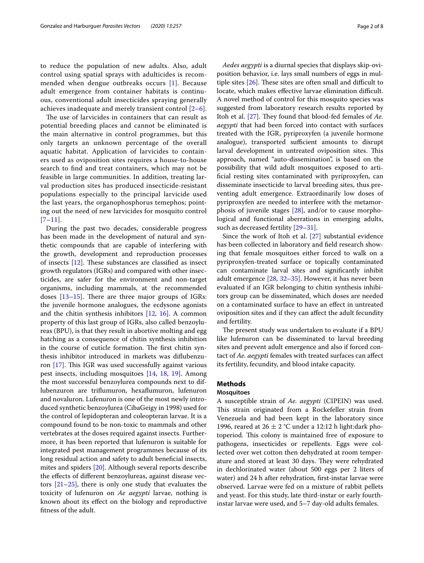to reduce the population of new adults. Also, adult control using spatial sprays with adulticides is recommended when dengue outbreaks occurs [[1\]](#page-6-0). Because adult emergence from container habitats is continuous, conventional adult insecticides spraying generally achieves inadequate and merely transient control [[2–](#page-6-1)[6\]](#page-6-2).

The use of larvicides in containers that can result as potential breeding places and cannot be eliminated is the main alternative in control programmes, but this only targets an unknown percentage of the overall aquatic habitat. Application of larvicides to containers used as oviposition sites requires a house-to-house search to fnd and treat containers, which may not be feasible in large communities. In addition, treating larval production sites has produced insecticide-resistant populations especially to the principal larvicide used the last years, the organophosphorus temephos; pointing out the need of new larvicides for mosquito control  $[7-11]$  $[7-11]$  $[7-11]$ .

During the past two decades, considerable progress has been made in the development of natural and synthetic compounds that are capable of interfering with the growth, development and reproduction processes of insects  $[12]$  $[12]$ . These substances are classified as insect growth regulators (IGRs) and compared with other insecticides, are safer for the environment and non-target organisms, including mammals, at the recommended doses  $[13–15]$  $[13–15]$ . There are three major groups of IGRs: the juvenile hormone analogues, the ecdysone agonists and the chitin synthesis inhibitors [\[12,](#page-6-5) [16\]](#page-7-7). A common property of this last group of IGRs, also called benzoylureas (BPU), is that they result in abortive molting and egg hatching as a consequence of chitin synthesis inhibition in the course of cuticle formation. The first chitin synthesis inhibitor introduced in markets was difubenzuron  $[17]$  $[17]$ . This IGR was used successfully against various pest insects, including mosquitoes [[14,](#page-6-8) [18,](#page-7-9) [19\]](#page-7-10). Among the most successful benzoylurea compounds next to diflubenzuron are trifumuron, hexafumuron, lufenuron and novaluron. Lufenuron is one of the most newly introduced synthetic benzoylurea (CibaGeigy in 1998) used for the control of lepidopteran and coleopteran larvae. It is a compound found to be non-toxic to mammals and other vertebrates at the doses required against insects. Furthermore, it has been reported that lufenuron is suitable for integrated pest management programmes because of its long residual action and safety to adult beneficial insects, mites and spiders [\[20\]](#page-7-11). Although several reports describe the efects of diferent benzoylureas, against disease vectors [[21](#page-7-12)[–25](#page-7-13)], there is only one study that evaluates the toxicity of lufenuron on *Ae aegypti* larvae, nothing is known about its efect on the biology and reproductive ftness of the adult.

*Aedes aegypti* is a diurnal species that displays skip-oviposition behavior, i.e. lays small numbers of eggs in multiple sites  $[26]$  $[26]$ . These sites are often small and difficult to locate, which makes effective larvae elimination difficult. A novel method of control for this mosquito species was suggested from laboratory research results reported by Itoh et al. [[27](#page-7-1)]. They found that blood-fed females of *Ae*. *aegypti* that had been forced into contact with surfaces treated with the IGR, pyriproxyfen (a juvenile hormone analogue), transported sufficient amounts to disrupt larval development in untreated oviposition sites. This approach, named "auto-dissemination", is based on the possibility that wild adult mosquitoes exposed to artifcial resting sites contaminated with pyriproxyfen, can disseminate insecticide to larval breeding sites, thus preventing adult emergence. Extraordinarily low doses of pyriproxyfen are needed to interfere with the metamorphosis of juvenile stages [\[28](#page-7-2)], and/or to cause morphological and functional aberrations in emerging adults, such as decreased fertility [\[29](#page-7-3)[–31\]](#page-7-4).

Since the work of Itoh et al. [\[27](#page-7-1)] substantial evidence has been collected in laboratory and feld research showing that female mosquitoes either forced to walk on a pyriproxyfen-treated surface or topically contaminated can contaminate larval sites and signifcantly inhibit adult emergence [\[28](#page-7-2), [32](#page-7-5)–[35\]](#page-7-6). However, it has never been evaluated if an IGR belonging to chitin synthesis inhibitors group can be disseminated, which doses are needed on a contaminated surface to have an efect in untreated oviposition sites and if they can afect the adult fecundity and fertility.

The present study was undertaken to evaluate if a BPU like lufenuron can be disseminated to larval breeding sites and prevent adult emergence and also if forced contact of *Ae. aegypti* females with treated surfaces can afect its fertility, fecundity, and blood intake capacity.

### **Methods**

### **Mosquitoes**

A susceptible strain of *Ae. aegypti* (CIPEIN) was used. This strain originated from a Rockefeller strain from Venezuela and had been kept in the laboratory since 1996, reared at 26  $\pm$  2 °C under a 12:12 h light:dark photoperiod. This colony is maintained free of exposure to pathogens, insecticides or repellents. Eggs were collected over wet cotton then dehydrated at room temperature and stored at least 30 days. They were rehydrated in dechlorinated water (about 500 eggs per 2 liters of water) and 24 h after rehydration, frst-instar larvae were observed. Larvae were fed on a mixture of rabbit pellets and yeast. For this study, late third-instar or early fourthinstar larvae were used, and 5–7 day-old adults females.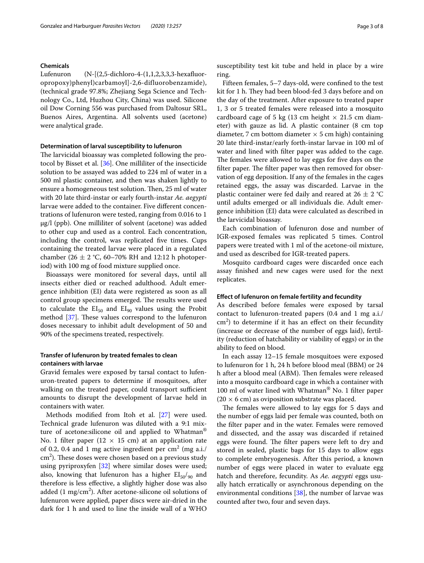### **Chemicals**

Lufenuron (N-[(2,5-dichloro-4-(1,1,2,3,3,3-hexafuoropropoxy)phenyl)carbamoyl]-2,6-difluorobenzamide), (technical grade 97.8%; Zhejiang Sega Science and Technology Co., Ltd, Huzhou City, China) was used. Silicone oil Dow Corning 556 was purchased from Daltosur SRL, Buenos Aires, Argentina. All solvents used (acetone) were analytical grade.

### **Determination of larval susceptibility to lufenuron**

The larvicidal bioassay was completed following the protocol by Bisset et al. [\[36](#page-7-14)]. One milliliter of the insecticide solution to be assayed was added to 224 ml of water in a 500 ml plastic container, and then was shaken lightly to ensure a homogeneous test solution. Then, 25 ml of water with 20 late third-instar or early fourth-instar *Ae. aegypti* larvae were added to the container. Five diferent concentrations of lufenuron were tested, ranging from 0.016 to 1 µg/l (ppb). One milliliter of solvent (acetone) was added to other cup and used as a control. Each concentration, including the control, was replicated fve times. Cups containing the treated larvae were placed in a regulated chamber (26  $\pm$  2 °C, 60–70% RH and 12:12 h photoperiod) with 100 mg of food mixture supplied once.

Bioassays were monitored for several days, until all insects either died or reached adulthood. Adult emergence inhibition (EI) data were registered as soon as all control group specimens emerged. The results were used to calculate the  $EI_{50}$  and  $EI_{90}$  values using the Probit method [[37](#page-7-15)]. These values correspond to the lufenuron doses necessary to inhibit adult development of 50 and 90% of the specimens treated, respectively.

### **Transfer of lufenuron by treated females to clean containers with larvae**

Gravid females were exposed by tarsal contact to lufenuron-treated papers to determine if mosquitoes, after walking on the treated paper, could transport sufficient amounts to disrupt the development of larvae held in containers with water.

Methods modifed from Itoh et al. [\[27](#page-7-1)] were used. Technical grade lufenuron was diluted with a 9:1 mixture of acetone:silicone oil and applied to Whatman® No. 1 filter paper (12  $\times$  15 cm) at an application rate of 0.2, 0.4 and 1 mg active ingredient per  $\text{cm}^2$  (mg a.i./ cm $^2$ ). These doses were chosen based on a previous study using pyriproxyfen [[32\]](#page-7-5) where similar doses were used; also, knowing that lufenuron has a higher  $EI_{50}/_{90}$  and therefore is less efective, a slightly higher dose was also added (1 mg/cm<sup>2</sup>). After acetone-silicone oil solutions of lufenuron were applied, paper discs were air-dried in the dark for 1 h and used to line the inside wall of a WHO

susceptibility test kit tube and held in place by a wire ring.

Fifteen females, 5–7 days-old, were confned to the test kit for 1 h. They had been blood-fed 3 days before and on the day of the treatment. After exposure to treated paper 1, 3 or 5 treated females were released into a mosquito cardboard cage of 5 kg (13 cm height  $\times$  21.5 cm diameter) with gauze as lid. A plastic container (8 cm top diameter, 7 cm bottom diameter  $\times$  5 cm high) containing 20 late third-instar/early forth-instar larvae in 100 ml of water and lined with flter paper was added to the cage. The females were allowed to lay eggs for five days on the filter paper. The filter paper was then removed for observation of egg deposition. If any of the females in the cages retained eggs, the assay was discarded. Larvae in the plastic container were fed daily and reared at  $26 \pm 2$  °C until adults emerged or all individuals die. Adult emergence inhibition (EI) data were calculated as described in the larvicidal bioassay.

Each combination of lufenuron dose and number of IGR-exposed females was replicated 5 times. Control papers were treated with 1 ml of the acetone-oil mixture, and used as described for IGR-treated papers.

Mosquito cardboard cages were discarded once each assay fnished and new cages were used for the next replicates.

### **Efect of lufenuron on female fertility and fecundity**

As described before females were exposed by tarsal contact to lufenuron-treated papers (0.4 and 1 mg a.i./  $\text{cm}^2$ ) to determine if it has an effect on their fecundity (increase or decrease of the number of eggs laid), fertility (reduction of hatchability or viability of eggs) or in the ability to feed on blood.

In each assay 12–15 female mosquitoes were exposed to lufenuron for 1 h, 24 h before blood meal (BBM) or 24 h after a blood meal (ABM). Then females were released into a mosquito cardboard cage in which a container with 100 ml of water lined with Whatman® No. 1 flter paper  $(20 \times 6$  cm) as oviposition substrate was placed.

The females were allowed to lay eggs for 5 days and the number of eggs laid per female was counted, both on the flter paper and in the water. Females were removed and dissected, and the assay was discarded if retained eggs were found. The filter papers were left to dry and stored in sealed, plastic bags for 15 days to allow eggs to complete embryogenesis. After this period, a known number of eggs were placed in water to evaluate egg hatch and therefore, fecundity. As *Ae. aegypti* eggs usually hatch erratically or asynchronous depending on the environmental conditions  $[38]$  $[38]$ , the number of larvae was counted after two, four and seven days.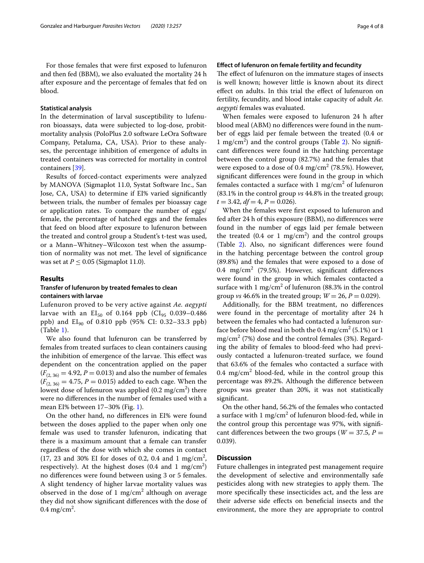### **Statistical analysis**

In the determination of larval susceptibility to lufenuron bioassays, data were subjected to log-dose, probitmortality analysis (PoloPlus 2.0 software LeOra Software Company, Petaluma, CA, USA). Prior to these analyses, the percentage inhibition of emergence of adults in treated containers was corrected for mortality in control containers [[39\]](#page-7-17).

Results of forced-contact experiments were analyzed by MANOVA (Sigmaplot 11.0, Systat Software Inc., San Jose, CA, USA) to determine if EI% varied signifcantly between trials, the number of females per bioassay cage or application rates. To compare the number of eggs/ female, the percentage of hatched eggs and the females that feed on blood after exposure to lufenuron between the treated and control group a Student's t-test was used, or a Mann–Whitney–Wilcoxon test when the assumption of normality was not met. The level of significance was set at  $P \leq 0.05$  (Sigmaplot 11.0).

### **Results**

### **Transfer of lufenuron by treated females to clean containers with larvae**

Lufenuron proved to be very active against *Ae. aegypti* larvae with an  $EI_{50}$  of 0.164 ppb ( $CI_{95}$  0.039–0.486 ppb) and  $EI_{90}$  of 0.810 ppb (95% CI: 0.32–33.3 ppb) (Table [1](#page-4-0)).

We also found that lufenuron can be transferred by females from treated surfaces to clean containers causing the inhibition of emergence of the larvae. This effect was dependent on the concentration applied on the paper  $(F_{(2, 36)} = 4.92, P = 0.013)$  and also the number of females  $(F_{(2, 36)} = 4.75, P = 0.015)$  added to each cage. When the lowest dose of lufenuron was applied (0.2 mg/cm<sup>2</sup>) there were no diferences in the number of females used with a mean EI% between 17–30% (Fig. [1](#page-4-1)).

On the other hand, no diferences in EI% were found between the doses applied to the paper when only one female was used to transfer lufenuron, indicating that there is a maximum amount that a female can transfer regardless of the dose with which she comes in contact  $(17, 23 \text{ and } 30\% \text{ El for doses of } 0.2, 0.4 \text{ and } 1 \text{ mg/cm}^2,$ respectively). At the highest doses (0.4 and 1 mg/cm<sup>2</sup>) no diferences were found between using 3 or 5 females. A slight tendency of higher larvae mortality values was observed in the dose of  $1 \text{ mg/cm}^2$  although on average they did not show signifcant diferences with the dose of  $0.4~{\rm mg/cm^2}$ .

### **Efect of lufenuron on female fertility and fecundity**

The effect of lufenuron on the immature stages of insects is well known; however little is known about its direct efect on adults. In this trial the efect of lufenuron on fertility, fecundity, and blood intake capacity of adult *Ae. aegypti* females was evaluated.

When females were exposed to lufenuron 24 h after blood meal (ABM) no diferences were found in the number of eggs laid per female between the treated (0.4 or  $1 \text{ mg/cm}^2$  $1 \text{ mg/cm}^2$ ) and the control groups (Table 2). No significant diferences were found in the hatching percentage between the control group (82.7%) and the females that were exposed to a dose of 0.4  $mg/cm<sup>2</sup>$  (78.5%). However, signifcant diferences were found in the group in which females contacted a surface with  $1 \text{ mg/cm}^2$  of lufenuron (83.1% in the control group *vs* 44.8% in the treated group;  $t = 3.42$ ,  $df = 4$ ,  $P = 0.026$ .

When the females were frst exposed to lufenuron and fed after 24 h of this exposure (BBM), no diferences were found in the number of eggs laid per female between the treated  $(0.4 \text{ or } 1 \text{ mg/cm}^2)$  and the control groups (Table [2](#page-5-0)). Also, no signifcant diferences were found in the hatching percentage between the control group (89.8%) and the females that were exposed to a dose of 0.4 mg/cm<sup>2</sup> (79.5%). However, significant differences were found in the group in which females contacted a surface with  $1 \text{ mg/cm}^2$  of lufenuron (88.3% in the control group *vs* 46.6% in the treated group;  $W = 26$ ,  $P = 0.029$ ).

Additionally, for the BBM treatment, no diferences were found in the percentage of mortality after 24 h between the females who had contacted a lufenuron surface before blood meal in both the  $0.4 \text{ mg/cm}^2$  (5.1%) or 1  $mg/cm<sup>2</sup>$  (7%) dose and the control females (3%). Regarding the ability of females to blood-feed who had previously contacted a lufenuron-treated surface, we found that 63.6% of the females who contacted a surface with  $0.4 \, \text{mg/cm}^2$  blood-fed, while in the control group this percentage was 89.2%. Although the diference between groups was greater than 20%, it was not statistically significant.

On the other hand, 56.2% of the females who contacted a surface with  $1 \text{ mg/cm}^2$  of lufenuron blood-fed, while in the control group this percentage was 97%, with signifcant differences between the two groups ( $W = 37.5$ ,  $P =$ 0.039).

### **Discussion**

Future challenges in integrated pest management require the development of selective and environmentally safe pesticides along with new strategies to apply them. The more specifcally these insecticides act, and the less are their adverse side efects on benefcial insects and the environment, the more they are appropriate to control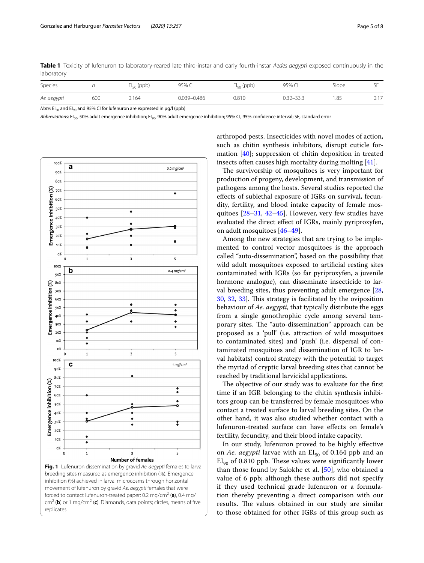<span id="page-4-0"></span>**Table 1** Toxicity of lufenuron to laboratory-reared late third-instar and early fourth-instar *Aedes aegypti* exposed continuously in the laboratory

| Species     |     | $El_{50}$ (ppb) | 95% CI      | $El_{90}$ (ppb) | 95% CI        | Slope |      |
|-------------|-----|-----------------|-------------|-----------------|---------------|-------|------|
| Ae. aegypti | 600 | 0.164           | 0.039-0.486 | 0.810           | $0.32 - 33.3$ | .85   | 0.17 |

*Note*: EI<sub>50</sub> and EI<sub>90</sub> and 95% CI for lufenuron are expressed in µg/l (ppb)

Abbreviations: EI<sub>50</sub>, 50% adult emergence inhibition; EI<sub>90</sub>, 90% adult emergence inhibition; 95% CI, 95% confidence interval; SE, standard error



arthropod pests. Insecticides with novel modes of action, such as chitin synthesis inhibitors, disrupt cuticle formation [[40](#page-7-18)]; suppression of chitin deposition in treated insects often causes high mortality during molting [\[41](#page-7-19)].

The survivorship of mosquitoes is very important for production of progeny, development, and transmission of pathogens among the hosts. Several studies reported the efects of sublethal exposure of IGRs on survival, fecundity, fertility, and blood intake capacity of female mosquitoes [\[28](#page-7-2)[–31,](#page-7-4) [42](#page-7-20)[–45](#page-7-21)]. However, very few studies have evaluated the direct efect of IGRs, mainly pyriproxyfen, on adult mosquitoes [[46](#page-7-22)[–49](#page-7-23)].

Among the new strategies that are trying to be implemented to control vector mosquitoes is the approach called "auto-dissemination", based on the possibility that wild adult mosquitoes exposed to artifcial resting sites contaminated with IGRs (so far pyriproxyfen, a juvenile hormone analogue), can disseminate insecticide to larval breeding sites, thus preventing adult emergence [[28](#page-7-2), [30,](#page-7-24) [32,](#page-7-5) [33](#page-7-25)]. This strategy is facilitated by the oviposition behaviour of *Ae. aegypti*, that typically distribute the eggs from a single gonothrophic cycle among several temporary sites. The "auto-dissemination" approach can be proposed as a 'pull' (i.e. attraction of wild mosquitoes to contaminated sites) and 'push' (i.e. dispersal of contaminated mosquitoes and dissemination of IGR to larval habitats) control strategy with the potential to target the myriad of cryptic larval breeding sites that cannot be reached by traditional larvicidal applications.

The objective of our study was to evaluate for the first time if an IGR belonging to the chitin synthesis inhibitors group can be transferred by female mosquitoes who contact a treated surface to larval breeding sites. On the other hand, it was also studied whether contact with a lufenuron-treated surface can have efects on female's fertility, fecundity, and their blood intake capacity.

<span id="page-4-1"></span>In our study, lufenuron proved to be highly efective on *Ae. aegypti* larvae with an EI<sub>50</sub> of 0.164 ppb and an  $EI_{90}$  of 0.810 ppb. These values were significantly lower than those found by Salokhe et al. [[50\]](#page-7-26), who obtained a value of 6 ppb; although these authors did not specify if they used technical grade lufenuron or a formulation thereby preventing a direct comparison with our results. The values obtained in our study are similar to those obtained for other IGRs of this group such as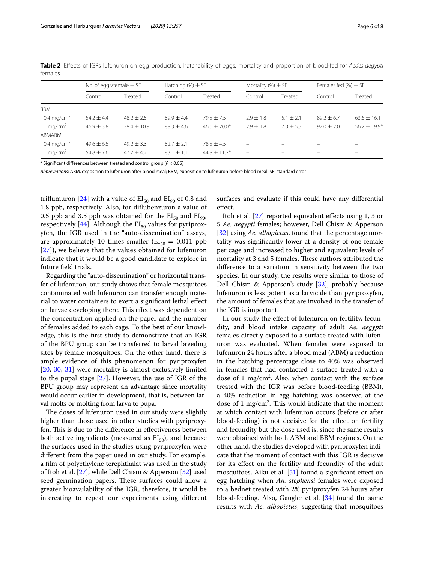|                        | No. of eggs/female $\pm$ SE |                 | Hatching $(\%) \pm SE$ |                  | Mortality $(\% ) \pm SE$ |               | Females fed $(\% ) \pm SE$ |                  |
|------------------------|-----------------------------|-----------------|------------------------|------------------|--------------------------|---------------|----------------------------|------------------|
|                        | Control                     | Treated         | Control                | Treated          | Control                  | Treated       | Control                    | Treated          |
| <b>BBM</b>             |                             |                 |                        |                  |                          |               |                            |                  |
| 0.4 mg/cm <sup>2</sup> | $54.2 \pm 4.4$              | $48.2 \pm 2.5$  | $89.9 \pm 4.4$         | $79.5 \pm 7.5$   | $2.9 \pm 1.8$            | $5.1 \pm 2.1$ | $89.2 \pm 6.7$             | $63.6 \pm 16.1$  |
| 1 mg/cm $^2$           | $46.9 \pm 3.8$              | $38.4 \pm 10.9$ | $88.3 \pm 4.6$         | $46.6 \pm 20.0*$ | $2.9 + 1.8$              | $7.0 \pm 5.3$ | $97.0 \pm 2.0$             | $56.2 \pm 19.9*$ |
| ABMABM                 |                             |                 |                        |                  |                          |               |                            |                  |
| 0.4 mg/cm <sup>2</sup> | $49.6 \pm 6.5$              | $49.2 \pm 3.3$  | $82.7 \pm 2.1$         | $78.5 + 4.5$     |                          |               |                            |                  |
| 1 mg/cm $^2$           | $54.8 \pm 7.6$              | $47.7 + 4.2$    | $83.1 \pm 1.1$         | $44.8 \pm 11.2*$ | -                        |               | -                          |                  |

<span id="page-5-0"></span>**Table 2** Efects of IGRs lufenuron on egg production, hatchability of eggs, mortality and proportion of blood-fed for *Aedes aegypti* females

\* Signifcant diferences between treated and control group (*P* < 0.05)

*Abbreviations*: ABM, exposition to lufenuron after blood meal; BBM, exposition to lufenuron before blood meal; SE: standard error

triflumuron [[24](#page-7-27)] with a value of  $EI_{50}$  and  $EI_{90}$  of 0.8 and 1.8 ppb, respectively. Also, for difubenzuron a value of 0.5 ppb and 3.5 ppb was obtained for the  $EI_{50}$  and  $EI_{90}$ , respectively [\[44](#page-7-28)]. Although the  $EI_{50}$  values for pyriproxyfen, the IGR used in the "auto-dissemination" assays, are approximately 10 times smaller ( $EI_{50} = 0.011$  ppb [[27](#page-7-1)]), we believe that the values obtained for lufenuron indicate that it would be a good candidate to explore in future feld trials.

Regarding the "auto-dissemination" or horizontal transfer of lufenuron, our study shows that female mosquitoes contaminated with lufenuron can transfer enough material to water containers to exert a signifcant lethal efect on larvae developing there. This effect was dependent on the concentration applied on the paper and the number of females added to each cage. To the best of our knowledge, this is the frst study to demonstrate that an IGR of the BPU group can be transferred to larval breeding sites by female mosquitoes. On the other hand, there is ample evidence of this phenomenon for pyriproxyfen [[20,](#page-7-11) [30](#page-7-24), [31](#page-7-4)] were mortality is almost exclusively limited to the pupal stage [\[27](#page-7-1)]. However, the use of IGR of the BPU group may represent an advantage since mortality would occur earlier in development, that is, between larval molts or molting from larva to pupa.

The doses of lufenuron used in our study were slightly higher than those used in other studies with pyriproxyfen. This is due to the difference in effectiveness between both active ingredients (measured as  $EI_{50}$ ), and because the surfaces used in the studies using pyriproxyfen were diferent from the paper used in our study. For example, a flm of polyethylene terephthalat was used in the study of Itoh et al. [[27\]](#page-7-1), while Dell Chism & Apperson [\[32\]](#page-7-5) used seed germination papers. These surfaces could allow a greater bioavailability of the IGR, therefore, it would be interesting to repeat our experiments using diferent

surfaces and evaluate if this could have any diferential efect.

Itoh et al. [\[27](#page-7-1)] reported equivalent efects using 1, 3 or 5 *Ae. aegypti* females; however, Dell Chism & Apperson [[32\]](#page-7-5) using *Ae. albopictus*, found that the percentage mortality was signifcantly lower at a density of one female per cage and increased to higher and equivalent levels of mortality at 3 and 5 females. These authors attributed the diference to a variation in sensitivity between the two species. In our study, the results were similar to those of Dell Chism & Apperson's study [[32](#page-7-5)], probably because lufenuron is less potent as a larvicide than pyriproxyfen, the amount of females that are involved in the transfer of the IGR is important.

In our study the efect of lufenuron on fertility, fecundity, and blood intake capacity of adult *Ae. aegypti* females directly exposed to a surface treated with lufenuron was evaluated. When females were exposed to lufenuron 24 hours after a blood meal (ABM) a reduction in the hatching percentage close to 40% was observed in females that had contacted a surface treated with a dose of 1 mg/cm<sup>2</sup>. Also, when contact with the surface treated with the IGR was before blood-feeding (BBM), a 40% reduction in egg hatching was observed at the dose of 1 mg/cm<sup>2</sup>. This would indicate that the moment at which contact with lufenuron occurs (before or after blood-feeding) is not decisive for the efect on fertility and fecundity but the dose used is, since the same results were obtained with both ABM and BBM regimes. On the other hand, the studies developed with pyriproxyfen indicate that the moment of contact with this IGR is decisive for its efect on the fertility and fecundity of the adult mosquitoes. Aiku et al. [[51](#page-7-29)] found a significant effect on egg hatching when *An. stephensi* females were exposed to a bednet treated with 2% pyriproxyfen 24 hours after blood-feeding. Also, Gaugler et al. [\[34](#page-7-30)] found the same results with *Ae. albopictus*, suggesting that mosquitoes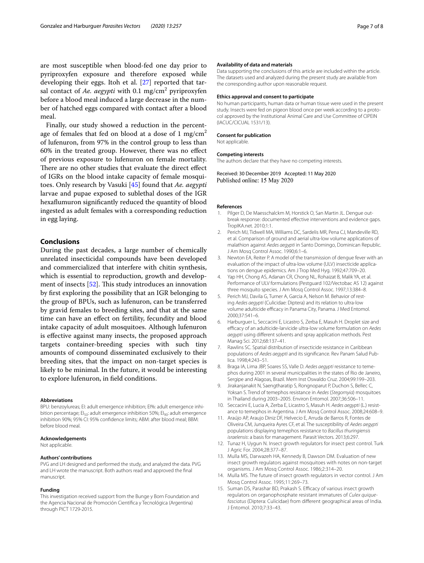are most susceptible when blood-fed one day prior to pyriproxyfen exposure and therefore exposed while developing their eggs. Itoh et al. [[27\]](#page-7-1) reported that tarsal contact of *Ae. aegypti* with 0.1 mg/cm<sup>2</sup> pyriproxyfen before a blood meal induced a large decrease in the number of hatched eggs compared with contact after a blood meal.

Finally, our study showed a reduction in the percentage of females that fed on blood at a dose of 1 mg/cm<sup>2</sup> of lufenuron, from 97% in the control group to less than 60% in the treated group. However, there was no efect of previous exposure to lufenuron on female mortality. There are no other studies that evaluate the direct effect of IGRs on the blood intake capacity of female mosquitoes. Only research by Vasuki [\[45](#page-7-21)] found that *Ae. aegypti* larvae and pupae exposed to sublethal doses of the IGR hexafumuron signifcantly reduced the quantity of blood ingested as adult females with a corresponding reduction in egg laying.

### **Conclusions**

During the past decades, a large number of chemically unrelated insecticidal compounds have been developed and commercialized that interfere with chitin synthesis, which is essential to reproduction, growth and development of insects  $[52]$  $[52]$ . This study introduces an innovation by frst exploring the possibility that an IGR belonging to the group of BPUs, such as lufenuron, can be transferred by gravid females to breeding sites, and that at the same time can have an efect on fertility, fecundity and blood intake capacity of adult mosquitoes. Although lufenuron is efective against many insects, the proposed approach targets container-breeding species with such tiny amounts of compound disseminated exclusively to their breeding sites, that the impact on non-target species is likely to be minimal. In the future, it would be interesting to explore lufenuron, in feld conditions.

#### **Abbreviations**

BPU: benzoylureas; EI: adult emergence inhibition; EI%: adult emergence inhibition percentage;  $E_{50}$ : adult emergence inhibition 50%;  $E_{100}$ : adult emergence inhibition 90%; 95% CI: 95% confdence limits; ABM: after blood meal; BBM: before blood meal.

#### **Acknowledgements**

Not applicable.

#### **Authors' contributions**

PVG and LH designed and performed the study, and analyzed the data. PVG and LH wrote the manuscript. Both authors read and approved the fnal manuscript.

### **Funding**

This investigation received support from the Bunge y Born Foundation and the Agencia Nacional de Promoción Científca y Tecnológica (Argentina) through PICT 1729-2015.

#### **Availability of data and materials**

Data supporting the conclusions of this article are included within the article. The datasets used and analyzed during the present study are available from the corresponding author upon reasonable request.

#### **Ethics approval and consent to participate**

No human participants, human data or human tissue were used in the present study. Insects were fed on pigeon blood once per week according to a protocol approved by the Institutional Animal Care and Use Committee of CIPEIN (IACUC/CICUAL 1531/13).

#### **Consent for publication**

Not applicable.

#### **Competing interests**

The authors declare that they have no competing interests.

Received: 30 December 2019 Accepted: 11 May 2020 Published online: 15 May 2020

#### **References**

- <span id="page-6-0"></span>1. Pilger D, De Maesschalckm M, Horstick O, San Martin JL. Dengue outbreak response: documented efective interventions and evidence gaps. TropIKA.net. 2010;1:1.
- <span id="page-6-1"></span>2. Perich MJ, Tidwell MA, Williams DC, Sardelis MR, Pena CJ, Mandeville RD, et al. Comparison of ground and aerial ultra-low volume applications of malathion against *Aedes aegypti* in Santo Domingo, Dominican Republic. J Am Mosq Control Assoc. 1990;6:1–6.
- 3. Newton EA, Reiter P. A model of the transmission of dengue fever with an evaluation of the impact of ultra-low volume (ULV) insecticide applications on dengue epidemics. Am J Trop Med Hyg. 1992;47:709–20.
- 4. Yap HH, Chong AS, Adanan CR, Chong NL, Rohaizat B, Malik YA, et al. Performance of ULV formulations (Pestguard 102/Vectobac AS 12) against three mosquito species. J Am Mosq Control Assoc. 1997;13:384–8.
- 5. Perich MJ, Davila G, Turner A, Garcia A, Nelson M. Behavior of resting *Aedes aegypti* (Culicidae: Diptera) and its relation to ultra-low volume adulticide efficacy in Panama City, Panama. J Med Entomol. 2000;37:541–6.
- <span id="page-6-2"></span>6. Harburguer L, Seccacini E, Licastro S, Zerba E, Masuh H. Droplet size and efficacy of an adulticide-larvicide ultra-low volume formulation on *Aedes aegypti* using diferent solvents and spray application methods. Pest Manag Sci. 2012;68:137–41.
- <span id="page-6-3"></span>7. Rawlins SC. Spatial distribution of insecticide resistance in Caribbean populations of *Aedes aegypti* and its signifcance. Rev Panam Salud Publica. 1998;4:243–51.
- 8. Braga IA, Lima JBP, Soares SS, Valle D. *Aedes aegypti* resistance to temephos during 2001 in several municipalities in the states of Rio de Janeiro, Sergipe and Alagoas, Brazil. Mem Inst Oswaldo Cruz. 2004;99:199–203.
- 9. Jirakanjanakit N, Saengtharatip S, Rongnoparut P, Duchon S, Bellec C, Yoksan S. Trend of temephos resistance in *Aedes* (*Stegomyia*) mosquitoes in Thailand during 2003–2005. Environ Entomol. 2007;36:506–11.
- 10. Seccacini E, Lucia A, Zerba E, Licastro S, Masuh H. *Aedes aegypti* (L.) resistance to temephos in Argentina. J Am Mosq Control Assoc. 2008;24:608–9.
- <span id="page-6-4"></span>11. Araújo AP, Araujo Diniz DF, Helvecio E, Arruda de Barros R, Fontes de Oliveira CM, Junqueira Ayres CF, et al. The susceptibility of *Aedes aegypti* populations displaying temephos resistance to *Bacillus thuringiensis israelensis*: a basis for management. Parasit Vectors. 2013;6:297.
- <span id="page-6-5"></span>12. Tunaz H, Uygun N. Insect growth regulators for insect pest control. Turk J Agric For. 2004;28:377–87.
- <span id="page-6-6"></span>13. Mulla MS, Darwazeh HA, Kennedy B, Dawson DM. Evaluation of new insect growth regulators against mosquitoes with notes on non-target organisms. J Am Mosq Control Assoc. 1986;2:314–20.
- <span id="page-6-8"></span>14. Mulla MS. The future of insect growth regulators in vector control. J Am Mosq Control Assoc. 1995;11:269–73.
- <span id="page-6-7"></span>15. Suman DS, Parashar BD, Prakash S. Efficacy of various insect growth regulators on organophosphate resistant immatures of *Culex quiquefasciatus* (Diptera: Culicidae) from diferent geographical areas of India. J Entomol. 2010;7:33–43.